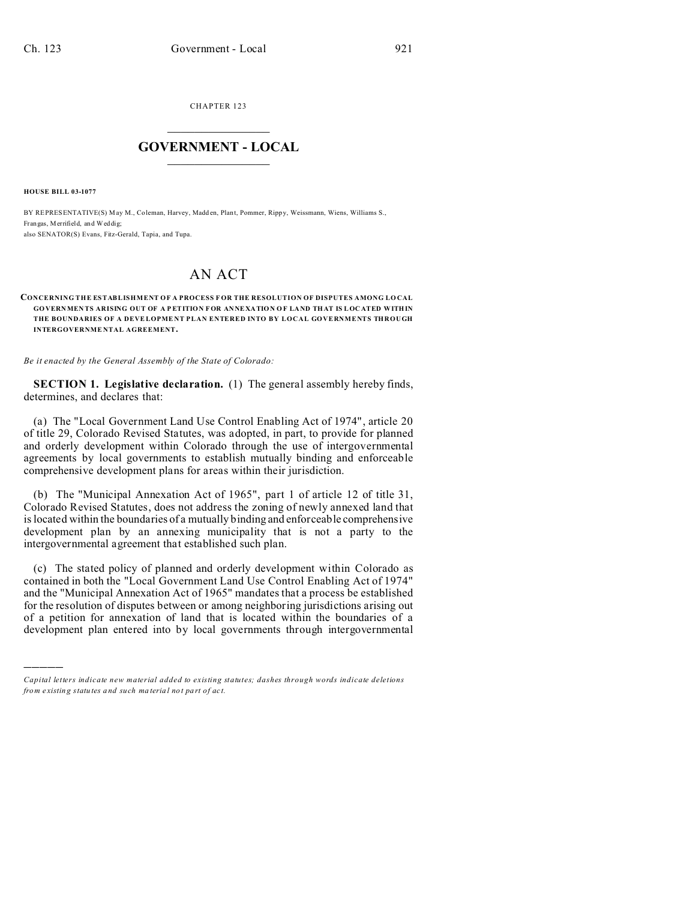CHAPTER 123  $\overline{\phantom{a}}$  , where  $\overline{\phantom{a}}$ 

## **GOVERNMENT - LOCAL**  $\_$   $\_$

**HOUSE BILL 03-1077**

)))))

BY REPRESENTATIVE(S) May M., Coleman, Harvey, Madden, Plant, Pommer, Rippy, Weissmann, Wiens, Williams S., Frangas, Merrifield, and Weddig; also SENATOR(S) Evans, Fitz-Gerald, Tapia, and Tupa.

## AN ACT

## **CONCERNING THE ESTABLISHMENT OF A PROCESS F OR THE RESOLUTION OF DISPUTES AMONG LO CAL GOVERNMEN TS ARISING OUT OF A P ETITION F OR ANNE XATION O F LA ND THAT IS LOC ATED WITHIN** THE BOUNDARIES OF A DEVELOPMENT PLAN ENTERED INTO BY LOCAL GOVERNMENTS THROUGH **INTERGOVERNME NTAL AGREEMENT.**

*Be it enacted by the General Assembly of the State of Colorado:*

**SECTION 1. Legislative declaration.** (1) The general assembly hereby finds, determines, and declares that:

(a) The "Local Government Land Use Control Enabling Act of 1974", article 20 of title 29, Colorado Revised Statutes, was adopted, in part, to provide for planned and orderly development within Colorado through the use of intergovernmental agreements by local governments to establish mutually binding and enforceable comprehensive development plans for areas within their jurisdiction.

(b) The "Municipal Annexation Act of 1965", part 1 of article 12 of title 31, Colorado Revised Statutes, does not address the zoning of newly annexed land that is located within the boundaries of a mutually binding and enforceable comprehensive development plan by an annexing municipality that is not a party to the intergovernmental agreement that established such plan.

(c) The stated policy of planned and orderly development within Colorado as contained in both the "Local Government Land Use Control Enabling Act of 1974" and the "Municipal Annexation Act of 1965" mandates that a process be established for the resolution of disputes between or among neighboring jurisdictions arising out of a petition for annexation of land that is located within the boundaries of a development plan entered into by local governments through intergovernmental

*Capital letters indicate new material added to existing statutes; dashes through words indicate deletions from e xistin g statu tes a nd such ma teria l no t pa rt of ac t.*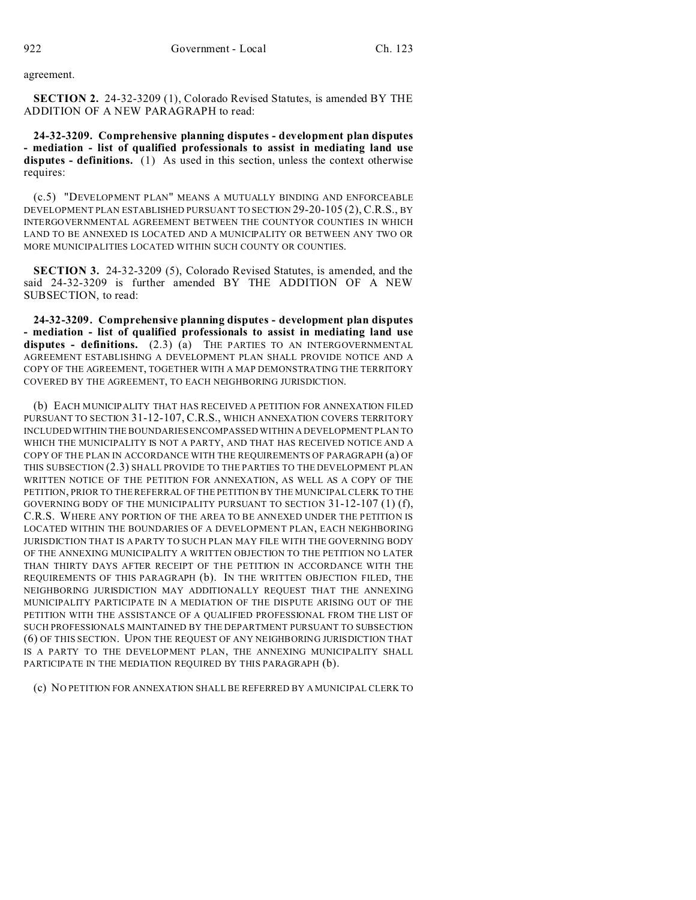agreement.

**SECTION 2.** 24-32-3209 (1), Colorado Revised Statutes, is amended BY THE ADDITION OF A NEW PARAGRAPH to read:

**24-32-3209. Comprehensive planning disputes - development plan disputes - mediation - list of qualified professionals to assist in mediating land use disputes - definitions.** (1) As used in this section, unless the context otherwise requires:

(c.5) "DEVELOPMENT PLAN" MEANS A MUTUALLY BINDING AND ENFORCEABLE DEVELOPMENT PLAN ESTABLISHED PURSUANT TO SECTION 29-20-105 (2), C.R.S., BY INTERGOVERNMENTAL AGREEMENT BETWEEN THE COUNTYOR COUNTIES IN WHICH LAND TO BE ANNEXED IS LOCATED AND A MUNICIPALITY OR BETWEEN ANY TWO OR MORE MUNICIPALITIES LOCATED WITHIN SUCH COUNTY OR COUNTIES.

**SECTION 3.** 24-32-3209 (5), Colorado Revised Statutes, is amended, and the said 24-32-3209 is further amended BY THE ADDITION OF A NEW SUBSECTION, to read:

**24-32-3209. Comprehensive planning disputes - development plan disputes - mediation - list of qualified professionals to assist in mediating land use disputes - definitions.** (2.3) (a) THE PARTIES TO AN INTERGOVERNMENTAL AGREEMENT ESTABLISHING A DEVELOPMENT PLAN SHALL PROVIDE NOTICE AND A COPY OF THE AGREEMENT, TOGETHER WITH A MAP DEMONSTRATING THE TERRITORY COVERED BY THE AGREEMENT, TO EACH NEIGHBORING JURISDICTION.

(b) EACH MUNICIPALITY THAT HAS RECEIVED A PETITION FOR ANNEXATION FILED PURSUANT TO SECTION 31-12-107, C.R.S., WHICH ANNEXATION COVERS TERRITORY INCLUDED WITHIN THE BOUNDARIES ENCOMPASSED WITHIN A DEVELOPMENT PLAN TO WHICH THE MUNICIPALITY IS NOT A PARTY, AND THAT HAS RECEIVED NOTICE AND A COPY OF THE PLAN IN ACCORDANCE WITH THE REQUIREMENTS OF PARAGRAPH (a) OF THIS SUBSECTION (2.3) SHALL PROVIDE TO THE PARTIES TO THE DEVELOPMENT PLAN WRITTEN NOTICE OF THE PETITION FOR ANNEXATION, AS WELL AS A COPY OF THE PETITION, PRIOR TO THE REFERRAL OF THE PETITION BY THE MUNICIPAL CLERK TO THE GOVERNING BODY OF THE MUNICIPALITY PURSUANT TO SECTION  $31-12-107(1)$  (f), C.R.S. WHERE ANY PORTION OF THE AREA TO BE ANNEXED UNDER THE PETITION IS LOCATED WITHIN THE BOUNDARIES OF A DEVELOPMENT PLAN, EACH NEIGHBORING JURISDICTION THAT IS A PARTY TO SUCH PLAN MAY FILE WITH THE GOVERNING BODY OF THE ANNEXING MUNICIPALITY A WRITTEN OBJECTION TO THE PETITION NO LATER THAN THIRTY DAYS AFTER RECEIPT OF THE PETITION IN ACCORDANCE WITH THE REQUIREMENTS OF THIS PARAGRAPH (b). IN THE WRITTEN OBJECTION FILED, THE NEIGHBORING JURISDICTION MAY ADDITIONALLY REQUEST THAT THE ANNEXING MUNICIPALITY PARTICIPATE IN A MEDIATION OF THE DISPUTE ARISING OUT OF THE PETITION WITH THE ASSISTANCE OF A QUALIFIED PROFESSIONAL FROM THE LIST OF SUCH PROFESSIONALS MAINTAINED BY THE DEPARTMENT PURSUANT TO SUBSECTION (6) OF THIS SECTION. UPON THE REQUEST OF ANY NEIGHBORING JURISDICTION THAT IS A PARTY TO THE DEVELOPMENT PLAN, THE ANNEXING MUNICIPALITY SHALL PARTICIPATE IN THE MEDIATION REQUIRED BY THIS PARAGRAPH (b).

(c) NO PETITION FOR ANNEXATION SHALL BE REFERRED BY A MUNICIPAL CLERK TO